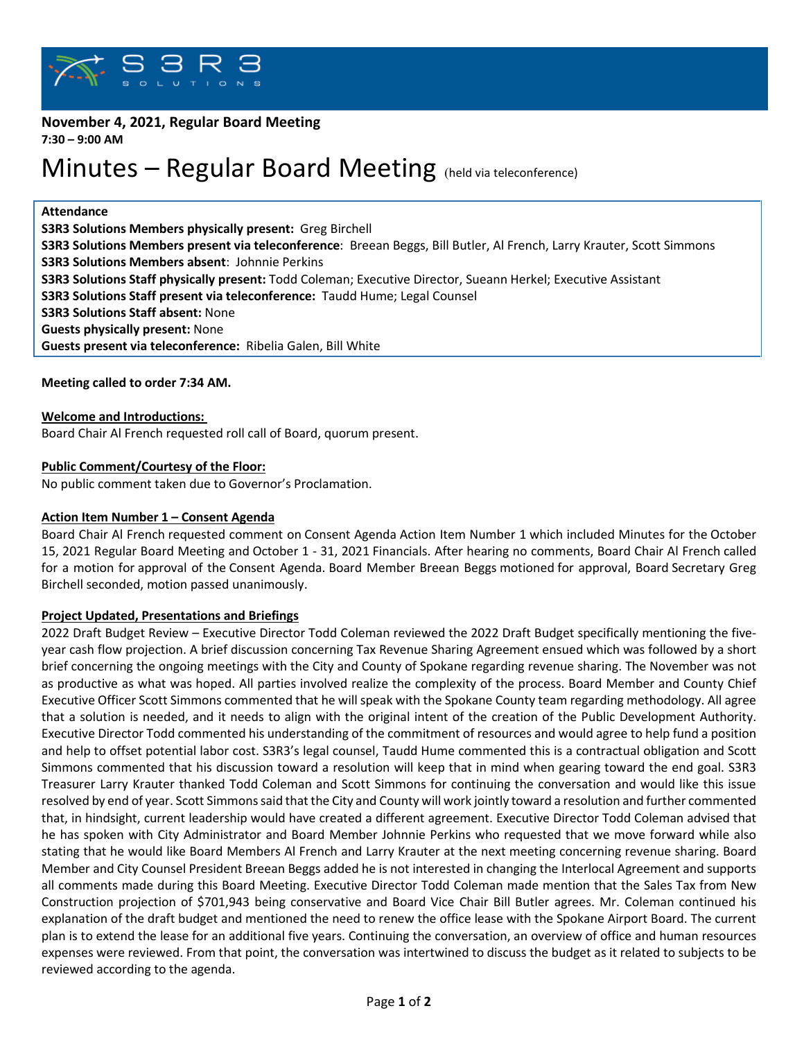

# **November 4, 2021, Regular Board Meeting**

**7:30 – 9:00 AM**

# Minutes – Regular Board Meeting (held via teleconference)

**Attendance**

**S3R3 Solutions Members physically present:** Greg Birchell

**S3R3 Solutions Members present via teleconference**: Breean Beggs, Bill Butler, Al French, Larry Krauter, Scott Simmons **S3R3 Solutions Members absent**: Johnnie Perkins

**S3R3 Solutions Staff physically present:** Todd Coleman; Executive Director, Sueann Herkel; Executive Assistant

**S3R3 Solutions Staff present via teleconference:** Taudd Hume; Legal Counsel

**S3R3 Solutions Staff absent:** None

**Guests physically present:** None

**Guests present via teleconference:** Ribelia Galen, Bill White

**Meeting called to order 7:34 AM.**

# **Welcome and Introductions:**

Board Chair Al French requested roll call of Board, quorum present.

# **Public Comment/Courtesy of the Floor:**

No public comment taken due to Governor's Proclamation.

#### **Action Item Number 1 – Consent Agenda**

Board Chair Al French requested comment on Consent Agenda Action Item Number 1 which included Minutes for the October 15, 2021 Regular Board Meeting and October 1 - 31, 2021 Financials. After hearing no comments, Board Chair Al French called for a motion for approval of the Consent Agenda. Board Member Breean Beggs motioned for approval, Board Secretary Greg Birchell seconded, motion passed unanimously.

# **Project Updated, Presentations and Briefings**

2022 Draft Budget Review – Executive Director Todd Coleman reviewed the 2022 Draft Budget specifically mentioning the fiveyear cash flow projection. A brief discussion concerning Tax Revenue Sharing Agreement ensued which was followed by a short brief concerning the ongoing meetings with the City and County of Spokane regarding revenue sharing. The November was not as productive as what was hoped. All parties involved realize the complexity of the process. Board Member and County Chief Executive Officer Scott Simmons commented that he will speak with the Spokane County team regarding methodology. All agree that a solution is needed, and it needs to align with the original intent of the creation of the Public Development Authority. Executive Director Todd commented his understanding of the commitment of resources and would agree to help fund a position and help to offset potential labor cost. S3R3's legal counsel, Taudd Hume commented this is a contractual obligation and Scott Simmons commented that his discussion toward a resolution will keep that in mind when gearing toward the end goal. S3R3 Treasurer Larry Krauter thanked Todd Coleman and Scott Simmons for continuing the conversation and would like this issue resolved by end of year. Scott Simmons said that the City and County will work jointly toward a resolution and further commented that, in hindsight, current leadership would have created a different agreement. Executive Director Todd Coleman advised that he has spoken with City Administrator and Board Member Johnnie Perkins who requested that we move forward while also stating that he would like Board Members Al French and Larry Krauter at the next meeting concerning revenue sharing. Board Member and City Counsel President Breean Beggs added he is not interested in changing the Interlocal Agreement and supports all comments made during this Board Meeting. Executive Director Todd Coleman made mention that the Sales Tax from New Construction projection of \$701,943 being conservative and Board Vice Chair Bill Butler agrees. Mr. Coleman continued his explanation of the draft budget and mentioned the need to renew the office lease with the Spokane Airport Board. The current plan is to extend the lease for an additional five years. Continuing the conversation, an overview of office and human resources expenses were reviewed. From that point, the conversation was intertwined to discuss the budget as it related to subjects to be reviewed according to the agenda.